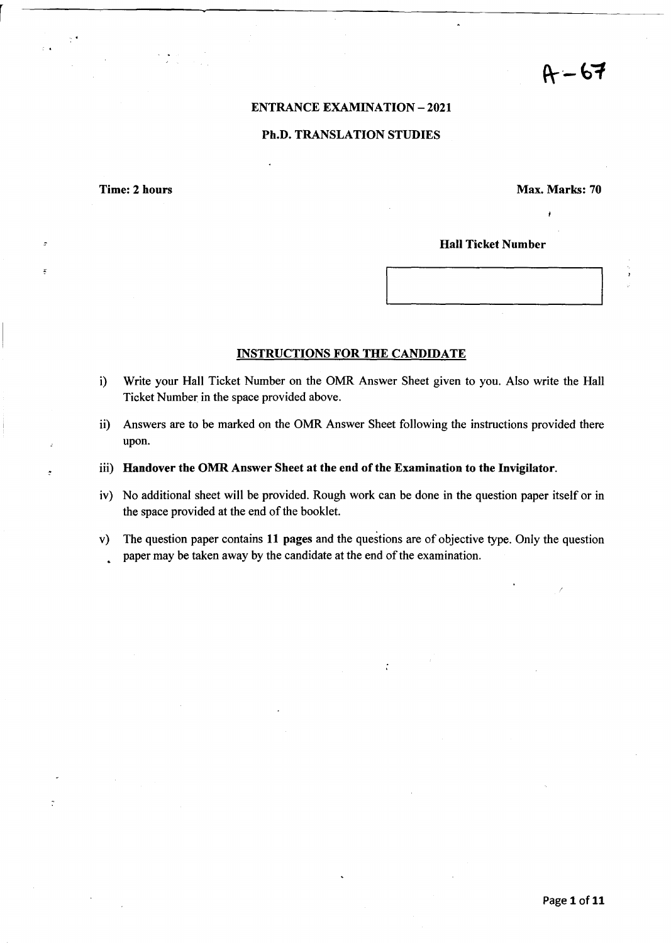$A - 67$ 

#### ENTRANCE EXAMINATION - 2021

#### Ph.D. TRANSLATION STUDIES

Time: 2 hours Max. Marks: 70

J

#### Hall Ticket Number

#### INSTRUCTIONS FOR THE CANDIDATE

- i) Write your Hall Ticket Number on the OMR Answer Sheet given to you. Also write the Hall Ticket Number in the space provided above.
- ii) Answers are to be marked on the OMR Answer Sheet following the instructions provided there upon.
- iii) Handover the OMR Answer Sheet at the end of the Examination to the Invigilator.
- iv) No additional sheet will be provided. Rough work can be done in the question paper itself or in the space provided at the end of the booklet.
- v) The question paper contains 11 pages and the questions are of objective type. Only the question paper may be taken away by the candidate at the end of the examination.

 $\mathcal{L}$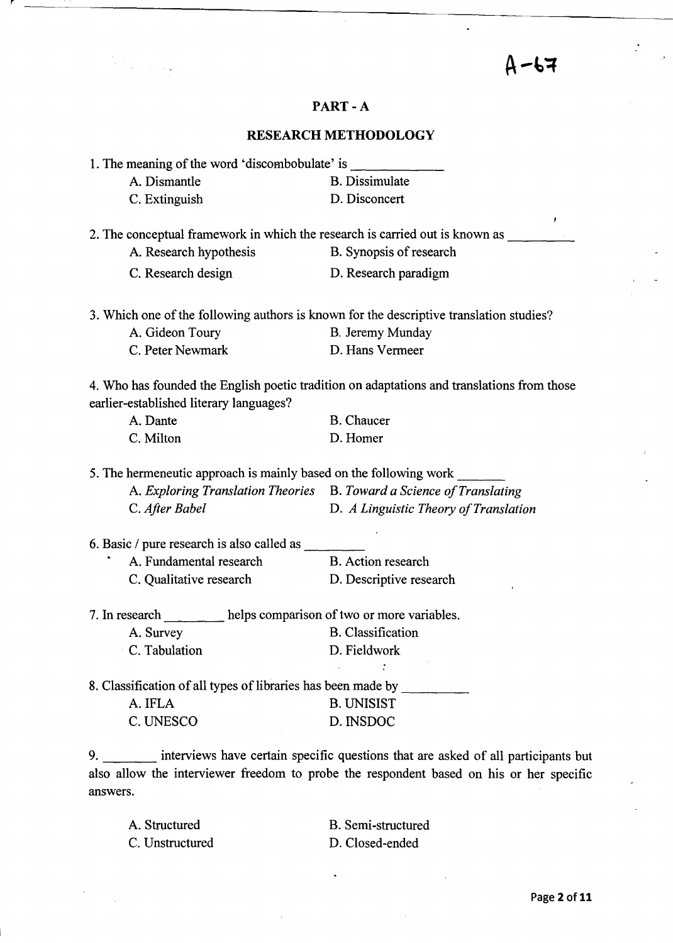# $A - 67$

### PART-A

## RESEARCH METHODOLOGY

|                | 1. The meaning of the word 'discombobulate' is                    |                                                                                            |
|----------------|-------------------------------------------------------------------|--------------------------------------------------------------------------------------------|
|                | A. Dismantle                                                      | <b>B.</b> Dissimulate                                                                      |
|                | C. Extinguish                                                     | D. Disconcert                                                                              |
|                |                                                                   | ŧ<br>2. The conceptual framework in which the research is carried out is known as          |
|                | A. Research hypothesis                                            | B. Synopsis of research                                                                    |
|                | C. Research design                                                | D. Research paradigm                                                                       |
|                |                                                                   | 3. Which one of the following authors is known for the descriptive translation studies?    |
|                | A. Gideon Toury                                                   | B. Jeremy Munday                                                                           |
|                | C. Peter Newmark                                                  | D. Hans Vermeer                                                                            |
|                | earlier-established literary languages?                           | 4. Who has founded the English poetic tradition on adaptations and translations from those |
|                | A. Dante                                                          | <b>B.</b> Chaucer                                                                          |
|                | C. Milton                                                         | D. Homer                                                                                   |
|                | 5. The hermeneutic approach is mainly based on the following work |                                                                                            |
|                |                                                                   | A. Exploring Translation Theories B. Toward a Science of Translating                       |
|                | C. After Babel                                                    | D. A Linguistic Theory of Translation                                                      |
|                | 6. Basic / pure research is also called as                        |                                                                                            |
|                | A. Fundamental research                                           | <b>B.</b> Action research                                                                  |
|                | C. Qualitative research                                           | D. Descriptive research                                                                    |
| 7. In research |                                                                   | helps comparison of two or more variables.                                                 |
|                | A. Survey                                                         | <b>B.</b> Classification                                                                   |
|                | C. Tabulation                                                     | D. Fieldwork                                                                               |
|                | 8. Classification of all types of libraries has been made by      |                                                                                            |
|                | A. IFLA                                                           | <b>B. UNISIST</b>                                                                          |
|                | C. UNESCO                                                         | D. INSDOC                                                                                  |
|                | tomicum horm contain apositio questions that are solved           |                                                                                            |

9. interviews have certain specific questions that are asked of all participants but also allow the interviewer freedom to probe the respondent based on his or her specific answers.

A. Structured C. Unstructured B. Semi-structured D. Closed-ended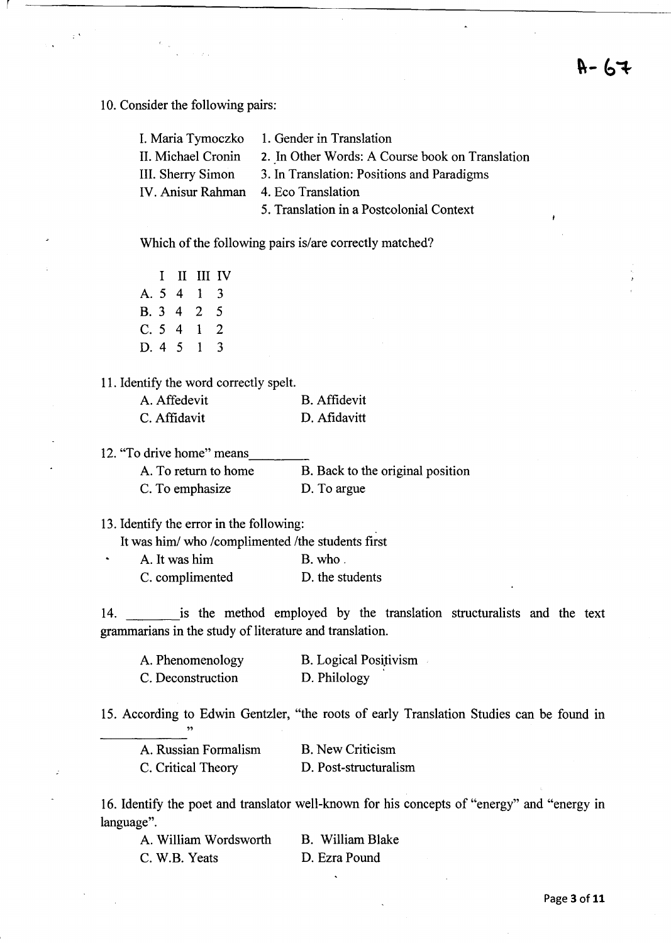$H - 64$ 

10. Consider the following pairs:

|                                      | I. Maria Tymoczko 1. Gender in Translation      |
|--------------------------------------|-------------------------------------------------|
| II. Michael Cronin                   | 2. In Other Words: A Course book on Translation |
| III. Sherry Simon                    | 3. In Translation: Positions and Paradigms      |
| IV. Anisur Rahman 4. Eco Translation |                                                 |
|                                      | 5. Translation in a Postcolonial Context        |

Which of the following pairs is/are correctly matched?

|        |          | I II III IV    |    |
|--------|----------|----------------|----|
|        |          | A. 5 4 1 3     |    |
|        |          | B. 3 4 2       | 5  |
| C. 5 4 |          | $\blacksquare$ | -2 |
|        | D. 4 5 1 |                | 3  |

#### 11. Identify the word correctly spelt.

| A. Affedevit | <b>B.</b> Affidevit |
|--------------|---------------------|
| C. Affidavit | D. Afidavitt        |

12. "To drive home" means

 $\bullet$ 

| A. To return to home | B. Back to the original position |
|----------------------|----------------------------------|
| C. To emphasize      | D. To argue                      |

13. Identify the error in the following: .

It was him/ who /complimented /the students first

A. It was him B. who. C. complimented D. the students

14. is the method employed by the translation structuralists and the text grammarians in the study of literature and translation.

| A. Phenomenology  | <b>B.</b> Logical Positivism |
|-------------------|------------------------------|
| C. Deconstruction | D. Philology                 |

15. According to Edwin Gentzler, "the roots of early Translation Studies can be found in "

| A. Russian Formalism | <b>B.</b> New Criticism |
|----------------------|-------------------------|
| C. Critical Theory   | D. Post-structuralism   |

16. Identify the poet and translator well-known for his concepts of "energy" and "energy in language".

| A. William Wordsworth | B. William Blake |
|-----------------------|------------------|
| C. W.B. Yeats         | D. Ezra Pound    |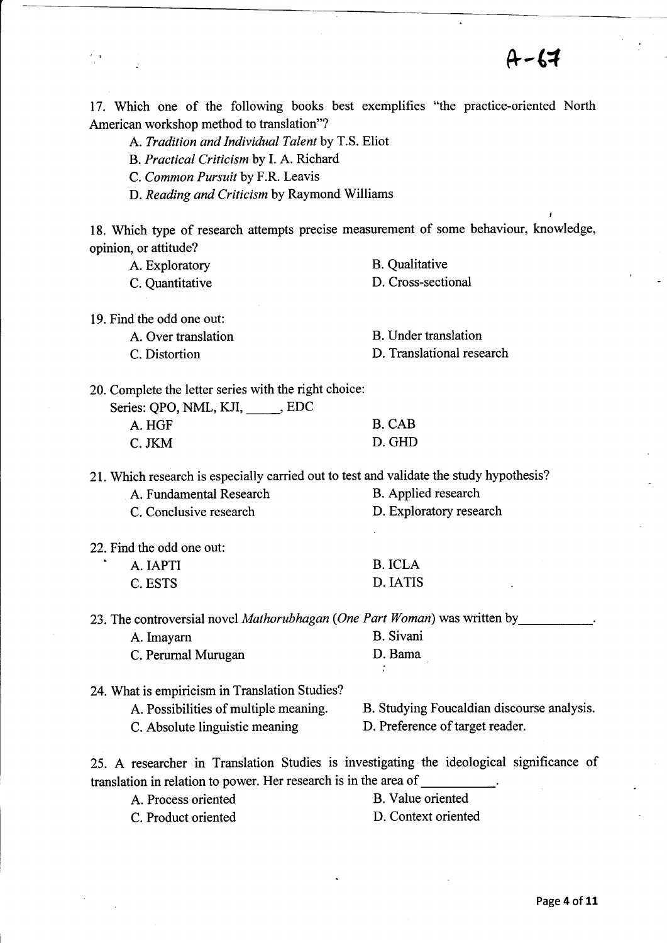$A - 67$ 

17. Which one of the following books best exemplifies "the practice-oriented North American workshop method to translation"?

A. *Tradition and Individual Talent* by T.S. Eliot

B. *Practical Criticism* by I. A. Richard

C. *Common Pursuit* by F.R. Leavis

 $\epsilon_{\rm m}$ 

D. *Reading and Criticism* by Raymond Williams

18. Which type of research attempts precise measurement of some behaviour, knowledge, opinion, or attitude?

| A. Exploratory                                                                          | <b>B.</b> Qualitative                                                                    |
|-----------------------------------------------------------------------------------------|------------------------------------------------------------------------------------------|
| C. Quantitative                                                                         | D. Cross-sectional                                                                       |
| 19. Find the odd one out:                                                               |                                                                                          |
| A. Over translation                                                                     | <b>B.</b> Under translation                                                              |
| C. Distortion                                                                           | D. Translational research                                                                |
| 20. Complete the letter series with the right choice:                                   |                                                                                          |
| Series: QPO, NML, KJI, _____, EDC                                                       |                                                                                          |
| A. HGF                                                                                  | <b>B.</b> CAB                                                                            |
| C. JKM                                                                                  | D. GHD                                                                                   |
| 21. Which research is especially carried out to test and validate the study hypothesis? |                                                                                          |
| A. Fundamental Research                                                                 | B. Applied research                                                                      |
| C. Conclusive research                                                                  | D. Exploratory research                                                                  |
| 22. Find the odd one out:                                                               |                                                                                          |
| A. IAPTI                                                                                | <b>B.</b> ICLA                                                                           |
| C. ESTS                                                                                 | D. IATIS                                                                                 |
| 23. The controversial novel Mathorubhagan (One Part Woman) was written by               |                                                                                          |
| A. Imayarn                                                                              | <b>B.</b> Sivani                                                                         |
| C. Perurnal Murugan                                                                     | D. Bama                                                                                  |
| 24. What is empiricism in Translation Studies?                                          |                                                                                          |
| A. Possibilities of multiple meaning.                                                   | B. Studying Foucaldian discourse analysis.                                               |
| C. Absolute linguistic meaning                                                          | D. Preference of target reader.                                                          |
| translation in relation to power. Her research is in the area of __________.            | 25. A researcher in Translation Studies is investigating the ideological significance of |
|                                                                                         |                                                                                          |

A. Process oriented B. Value oriented

C. Product oriented D. Context oriented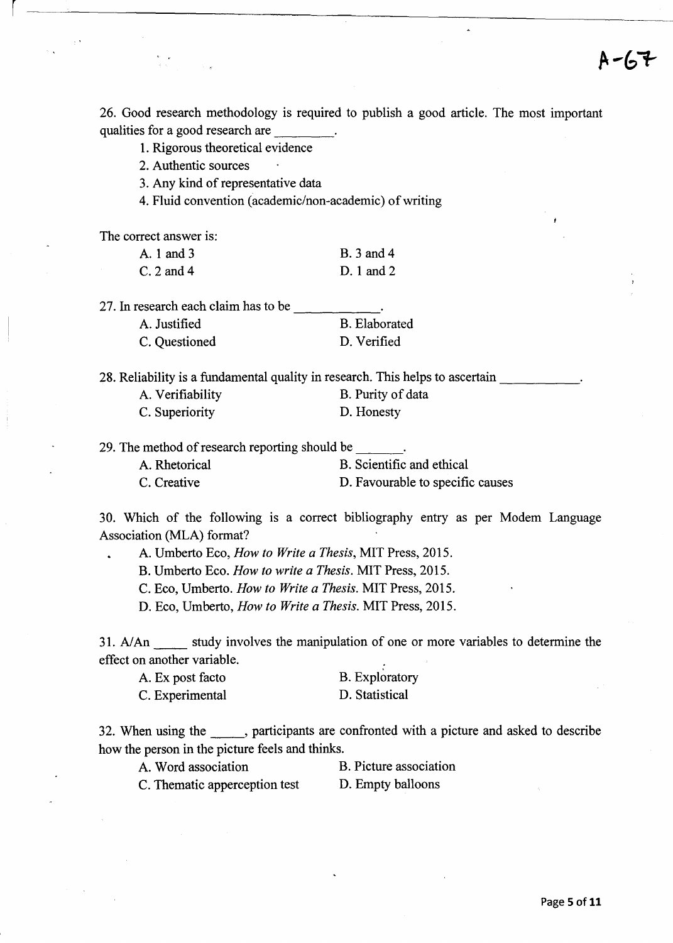26. Good research methodology is required to publish a good article. The most important qualities for a good research are

I. Rigorous theoretical evidence

2. Authentic sources

3. Any kind of representative data

4. Fluid convention (academic/non-academic) of writing

The correct answer is:

r

| A. 1 and 3   | <b>B.</b> 3 and 4 |
|--------------|-------------------|
| $C. 2$ and 4 | $D.1$ and $2$     |

27. In research each claim has to be A. Justified C. Questioned B. Elaborated D. Verified

|                  | 28. Reliability is a fundamental quality in research. This helps to ascertain |
|------------------|-------------------------------------------------------------------------------|
| A. Verifiability | B. Purity of data                                                             |
| C. Superiority   | D. Honesty                                                                    |

29. The method of research reporting should be  $\qquad \qquad$ .

| A. Rhetorical | B. Scientific and ethical        |
|---------------|----------------------------------|
| C. Creative   | D. Favourable to specific causes |

30. Which of the following is a correct bibliography entry as per Modem Language Association (MLA) format?

A. Umberto Eco, *How to Write a Thesis,* MIT Press, 2015.

B. Umberto Eco. *How to write a Thesis.* MIT Press, 2015.

C. Eco, Umberto. *How to Write a Thesis.* MIT Press, 2015.

D. Eco, Umberto, *How to Write a Thesis.* MIT Press, 2015.

31. A/An study involves the manipulation of one or more variables to determine the effect on another variable.

| A. Ex post facto | <b>B.</b> Exploratory |
|------------------|-----------------------|
| C. Experimental  | D. Statistical        |

32. When using the strategies are confronted with a picture and asked to describe how the person in the picture feels and thinks.

A. Word association B. Picture association

C. Thematic apperception test D. Empty balloons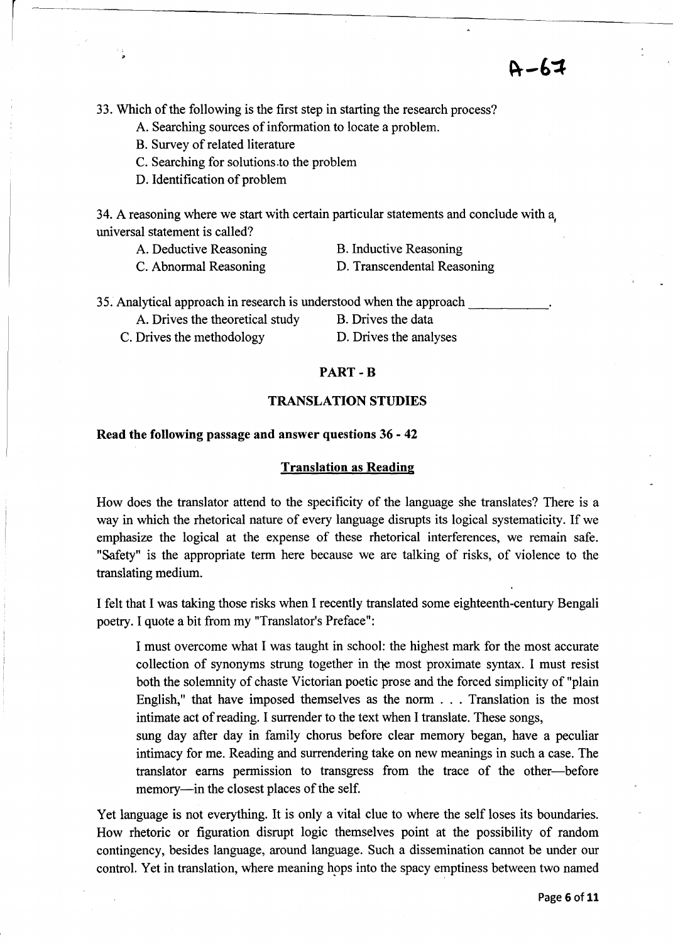33. Which of the following is the first step in starting the research process?

- A. Searching sources of information to locate a problem.
- B. Survey of related literature
- C. Searching for solutions.to the problem
- D. Identification of problem

34. A reasoning where we start with certain particular statements and conclude with a<sup>l</sup> universal statement is called?

A. Deductive Reasoning C. Abnormal Reasoning

- B. Inductive Reasoning
- D. Transcendental Reasoning

 $A - 67$ 

| 35. Analytical approach in research is understood when the approach |                    |
|---------------------------------------------------------------------|--------------------|
| A. Drives the theoretical study                                     | B. Drives the data |

C. Drives the methodology D. Drives the analyses

#### PART-B

#### TRANSLATION STUDIES

#### Read the following passage and answer questions 36 - 42

#### Translation as Reading

How does the translator attend to the specificity of the language she translates? There is a way in which the rhetorical nature of every language disrupts its logical systematicity. If we emphasize the logical at the expense of these rhetorical interferences, we remain safe. "Safety" is the appropriate term here because we are talking of risks, of violence to the translating medium.

I felt that I was taking those risks when I recently translated some eighteenth-century Bengali poetry. I quote a bit from my "Translator's Preface":

I must overcome what I was taught in school: the highest mark for the most accurate collection of synonyms strung together in the most proximate syntax. I must resist both the solemnity of chaste Victorian poetic prose and the forced simplicity of "plain English," that have imposed themselves as the norm ... Translation is the most intimate act of reading. I surrender to the text when I translate. These songs,

sung day after day in family chorus before clear memory began, have a peculiar intimacy for me. Reading and surrendering take on new meanings in such a case. The translator earns permission to transgress from the trace of the other-before memory—in the closest places of the self.

Yet language is not everything. It is only a vital clue to where the self loses its boundaries. How rhetoric or figuration disrupt logic themselves point at the possibility of random contingency, besides language, around language. Such a dissemination cannot be under our control. Yet in translation, where meaning hops into the spacy emptiness between two named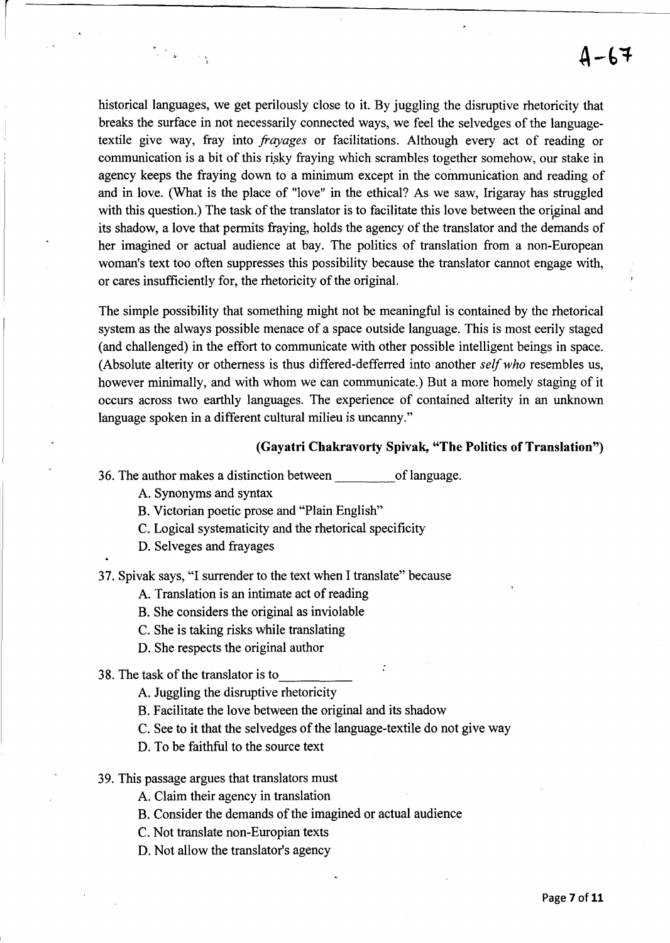historical languages, we get perilously close to it. By juggling the disruptive rhetoricity that breaks the surface in not necessarily connected ways, we feel the selvedges of the languagetextile give way, fray into *frayages* or facilitations. Although every act of reading or communication is a bit of this risky fraying which scrambles together somehow, our stake in agency keeps the fraying down to a minimum except in the communication and reading of and in love. (What is the place of "love" in the ethical? As we saw, 1rigaray has struggled with this question.) The task of the translator is to facilitate this love between the original and its shadow, a love that permits fraying, holds the agency of the translator and the demands of her imagined or actual audience at bay. The politics of translation from a non-European woman's text too often suppresses this possibility because the translator cannot engage with, or cares insufficiently for, the rhetoricity of the original.

The simple possibility that something might not be meaningful is contained by the rhetorical system as the always possible menace of a space outside language. This is most eerily staged (and challenged) in the effort to communicate with other possible intelligent beings in space. (Absolute alterity or otherness is thus differed-defferred into another *self who* resembles us, however minimally, and with whom we can communicate.) But a more homely staging of it occurs across two earthly languages. The experience of contained alterity in an unknown language spoken in a different cultural milieu is uncanny."

#### **(Gayatri Chakravorty Spivak, "The Politics of Translation")**

- 36. The author makes a distinction between of language.
	- A. Synonyms and syntax

a<br>Tirki

- B. Victorian poetic prose and "Plain English"
- C. Logical systematicity and the rhetorical specificity
- D. Selveges and frayages

37. Spivak says, "I surrender to the text when I translate" because

A. Translation is an intimate act of reading

- B. She considers the original as inviolable
- C. She is taking risks while translating
- D. She respects the original author

38. The task of the translator is to  $\Delta$ . Juggling the disruptive rhetoricity

- 
- B. Facilitate the love between the original and its shadow
- C. See to it that the selvedges of the language-textile do not give way
- D. To be faithful to the source text
- 39. This passage argues that translators must
	- A. Claim their agency in translation
	- B. Consider the demands of the imagined or actual audience
	- C. Not translate non-Europian texts
	- D. Not allow the translator's agency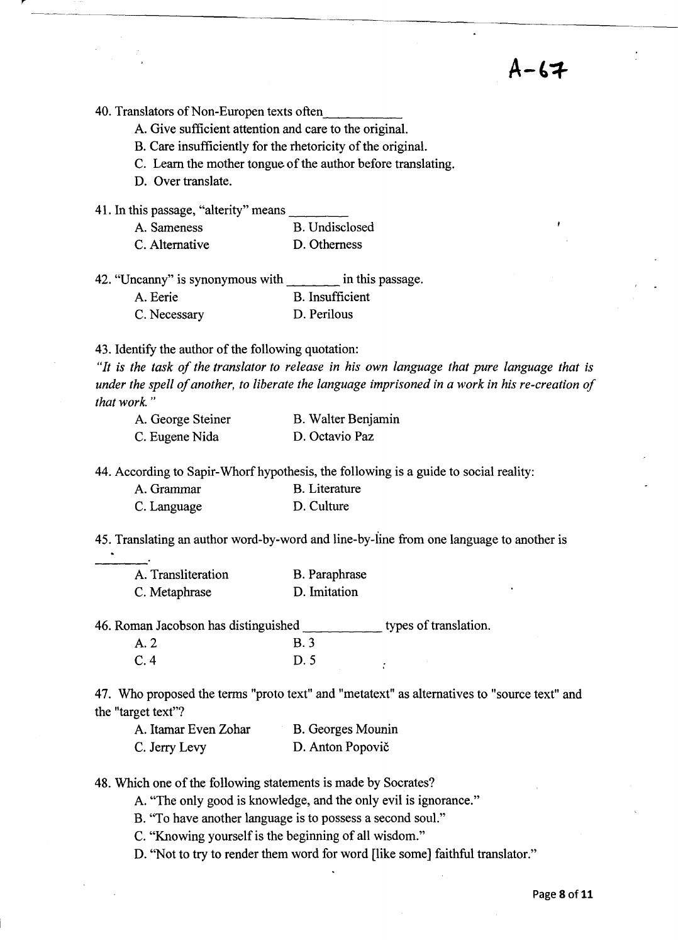**A-t-:f.** 

40. Translators of Non-Europen texts often.

A. Give sufficient attention and care to the original.

B. Care insufficiently for the rhetoricity of the original.

C. Learn the mother tongue of the author before translating.

D. Over translate.

41. In this passage, "alterity" means

| A. Sameness    | B. Undisclosed |
|----------------|----------------|
| C. Alternative | D. Otherness   |

| 42. "Uncanny" is synonymous with | in this passage.       |
|----------------------------------|------------------------|
| A. Eerie                         | <b>B.</b> Insufficient |
| C. Necessary                     | D. Perilous            |

43. Identify the author of the following quotation:

*"It is the task of the translator to release in his own language that pure language that is under the spell of another, to liberate the language imprisoned in a work in his re-creation of that work. "* 

---~~ --------------~----~------- ~~~--

| A. George Steiner | B. Walter Benjamin |
|-------------------|--------------------|
| C. Eugene Nida    | D. Octavio Paz     |

44. According to Sapir-Whorf hypothesis, the following is a guide to social reality:

| A. Grammar  | <b>B.</b> Literature |
|-------------|----------------------|
| C. Language | D. Culture           |

45. Translating an author word-by-word and line-by-iine from one language to another is

| $\bullet$<br>× |  |
|----------------|--|
|                |  |
|                |  |
|                |  |
|                |  |

| A. Transliteration | B. Paraphrase |
|--------------------|---------------|
| C. Metaphrase      | D. Imitation  |

46. Roman Jacobson has distinguished \_\_\_\_\_ types of translation. A.2 B.3

C.4 D.5

47. Who proposed the terms "proto text" and "metatext" as alternatives to "source text" and the "target text"?

A. Itamar Even Zohar C. Jerry Levy B. Georges Mounin D. Anton Popovič

48. Which one of the following statements is made by Socrates?

A. "The only good is knowledge, and the only evil is ignorance."

B. "To have another language is to possess a second soul."

C. "Knowing yourself is the beginning of all wisdom."

D. "Not to try to render them word for word [like some] faithful translator."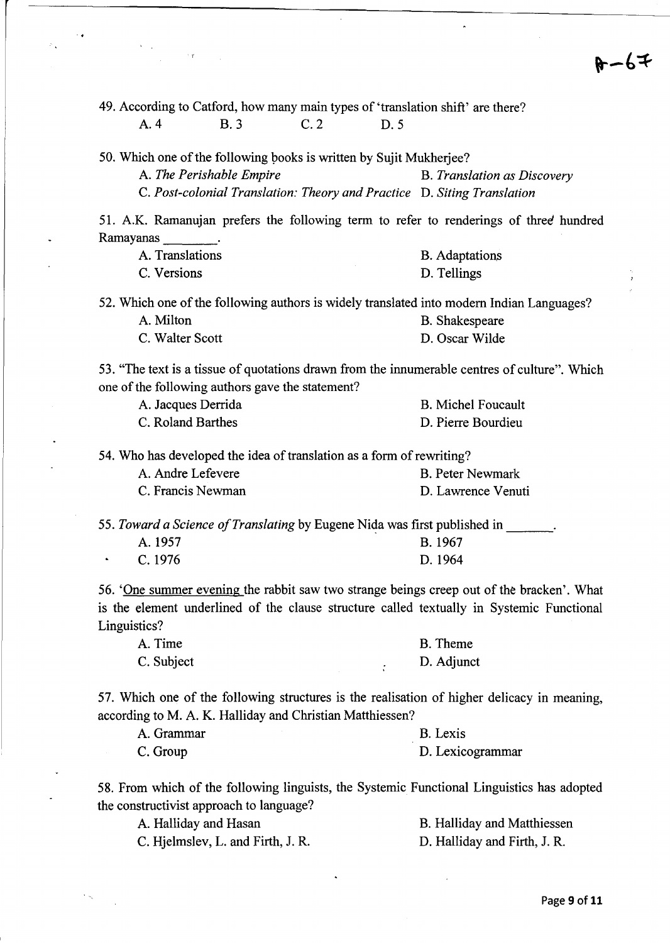$8 - 67$ 

49. According to Catford, how many main types of 'translation shift' are there? A.4 B.3 C.2 D.5

50. Which one of the following books is written by Sujit Mukherjee? A. *The Perishable Empire* B. *Translation as Discovery*  C. *Post-colonial Translation: Theory and Practice* D. *Siting Translation* 

51. A.K. Ramanujan prefers the following term to refer to renderings of three hundred Ramayanas

| A. Translations | <b>B.</b> Adaptations |
|-----------------|-----------------------|
| C. Versions     | D. Tellings           |

52. Which one of the following authors is widely translated into modem Indian Languages?

| A. Milton       | B. Shakespeare |
|-----------------|----------------|
| C. Walter Scott | D. Oscar Wilde |

53. "The text is a tissue of quotations drawn from the innumerable centres of culture". Which one of the following authors gave the statement?

| A. Jacques Derrida | <b>B.</b> Michel Foucault |
|--------------------|---------------------------|
| C. Roland Barthes  | D. Pierre Bourdieu        |

54. Who has developed the idea of translation as a form of rewriting?

| A. Andre Lefevere | <b>B.</b> Peter Newmark |
|-------------------|-------------------------|
| C. Francis Newman | D. Lawrence Venuti      |

*55. Toward a Science of Translating* by Eugene Nida was first published in \_\_\_\_\_\_.<br>A. 1957 **B.** 1967 A. 1957 C. 1976 D. 1964

56. 'One summer evening the rabbit saw two strange beings creep out of the bracken'. What is the element underlined of the clause structure called textually in Systemic Functional Linguistics?

| A. Time    | <b>B.</b> Theme |
|------------|-----------------|
| C. Subject | D. Adjunct      |

57. Which one of the following structures is the realisation of higher delicacy in meaning, according to M. A. K. Halliday and Christian Matthiessen?

| A. Grammar | B. Lexis         |
|------------|------------------|
| C. Group   | D. Lexicogrammar |

58. From which of the following linguists, the Systemic Functional Linguistics has adopted the constructivist approach to language?

| A. Halliday and Hasan             | B. Halliday and Matthiessen  |
|-----------------------------------|------------------------------|
| C. Hjelmslev, L. and Firth, J. R. | D. Halliday and Firth, J. R. |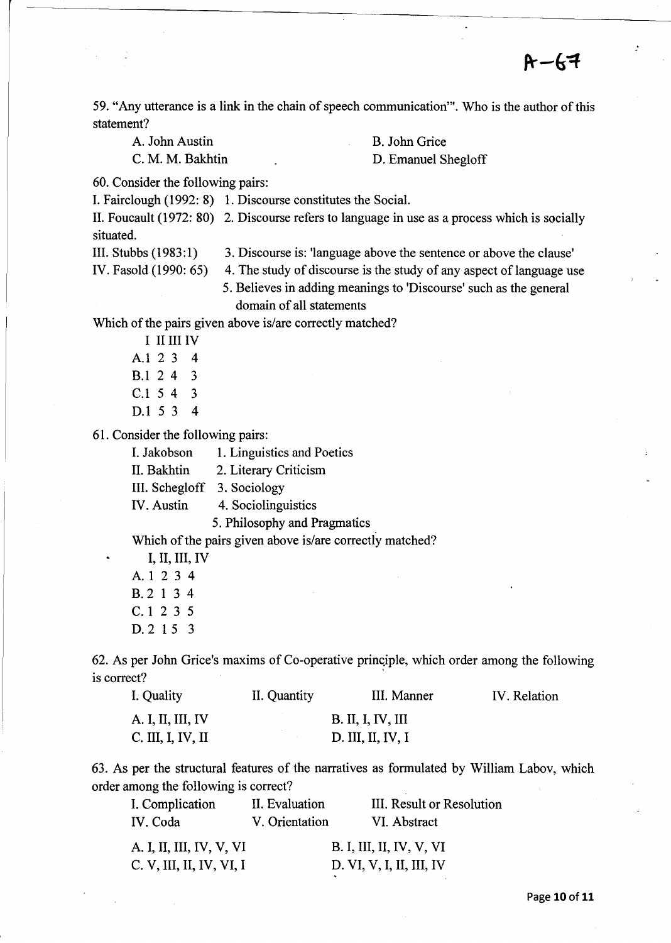59. "Any utterance is a link in the chain of speech communication"'. Who is the author of this statement?

A. John Austin B. John Grice

C. M. M. Bakhtin D. Emanuel Shegloff

60. Consider the following pairs:

I. Fairclough (1992: 8) 1. Discourse constitutes the Social.

II. Foucault (1972: 80) 2. Discourse refers to language in use as a process which is socially situated.

III. Stubbs (1983:1) 3. Discourse is: 'language above the sentence or above the clause'

IV. Fasold (1990: 65) 4. The study of discourse is the study of any aspect of language use

> 5. Believes in adding meanings to 'Discourse' such as the general domain of all statements

Which of the pairs given above is/are correctly matched?

I II III IV Al 2 3 4 B.l 2 4 3 C.l 5 4 3 D.l 5 3 4

61. Consider the following pairs:

| I. Jakobson       | 1. Linguistics and Poetics   |
|-------------------|------------------------------|
| II. Bakhtin       | 2. Literary Criticism        |
|                   | III. Schegloff 3. Sociology  |
| <b>IV.</b> Austin | 4. Sociolinguistics          |
|                   | 5. Philosophy and Pragmatics |

Which of the pairs given above is/are correctly matched?

I, II, III, IV A1234 B.2134 C.l 2 3 5 D.2 15 3

62. As per John Grice's maxims of Co-operative principle, which order among the following is correct?

| I. Quality        | II. Quantity | III. Manner              | IV. Relation |
|-------------------|--------------|--------------------------|--------------|
| A. I, II, III, IV |              | <b>B. II, I, IV, III</b> |              |
| C. III, I, IV, II |              | D. III, II, IV, I        |              |

63. As per the structural features of the narratives as formulated by William Labov, which order among the following is correct?

| I. Complication          | II. Evaluation | III. Result or Resolution |
|--------------------------|----------------|---------------------------|
| IV. Coda                 | V. Orientation | VI. Abstract              |
| A. I, II, III, IV, V, VI |                | B. I, III, II, IV, V, VI  |
| C. V, III, II, IV, VI, I |                | D. VI, V, I, II, III, IV  |

Page **10** of 11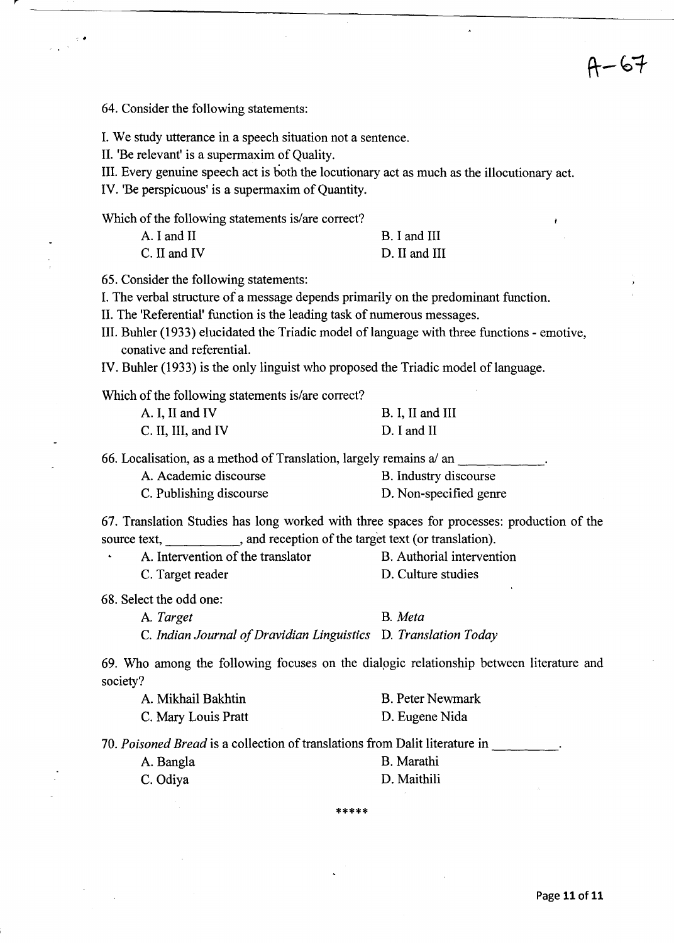64. Consider the following statements:

...

I. We study utterance in a speech situation not a sentence.

II. 'Be relevant' is a supermaxim of Quality.

III. Every genuine speech act is both the locutionary act as much as the illocutionary act.

IV. 'Be perspicuous' is a supermaxim of Quantity.

Which of the following statements is/are correct?

| A. I and II  | B. I and III  |
|--------------|---------------|
| C. II and IV | D. II and III |

65. Consider the following statements:

I. The verbal structure of a message depends primarily on the predominant function.

II. The 'Referential' function is the leading task of numerous messages.

III. Buhler (1933) elucidated the Triadic model of language with three functions - emotive, conative and referential.

IV. Buhler (1933) is the only linguist who proposed the Triadic model of language.

Which of the following statements is/are correct?

| A. I, II and IV    | B. I, II and III |
|--------------------|------------------|
| C. II, III, and IV | D. I and II      |

66. Localisation, as a method of Translation, largely remains  $a/an$ 

| A. Academic discourse   | B. Industry discourse  |
|-------------------------|------------------------|
| C. Publishing discourse | D. Non-specified genre |

67. Translation Studies has long worked with three spaces for processes: production of the source text, , and reception of the target text (or translation).

| A. Intervention of the translator | B. Authorial intervention |
|-----------------------------------|---------------------------|
| C. Target reader                  | D. Culture studies        |

68. Select the odd one:

A *Target* B. *Meta*  C. *Indian Journal of Dravidian Linguistics* D. *Translation Today* 

69. Who among the following focuses on the dialpgic relationship between literature and society?

| A. Mikhail Bakhtin  | <b>B.</b> Peter Newmark |
|---------------------|-------------------------|
| C. Mary Louis Pratt | D. Eugene Nida          |

*70. Poisoned Bread* is a collection of translations from Dalit literature in -----

| A. Bangla | B. Marathi  |
|-----------|-------------|
| C. Odiya  | D. Maithili |

\*\*\*\*\*

-67